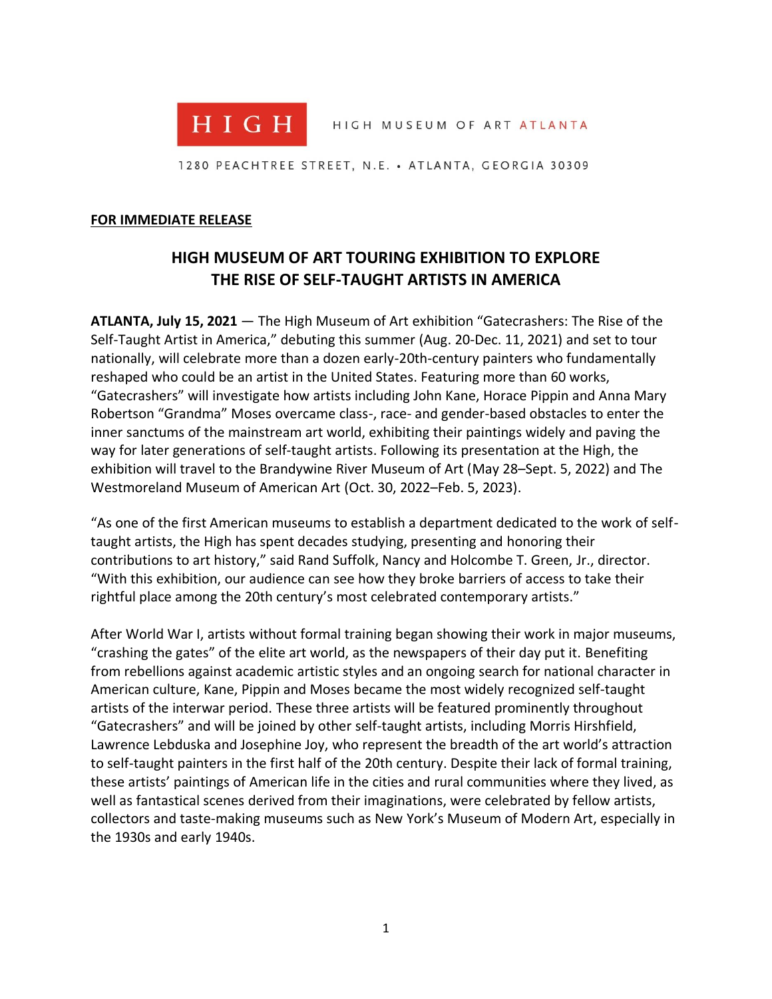

HIGH MUSEUM OF ART ATLANTA

1280 PEACHTREE STREET, N.E. • ATLANTA, GEORGIA 30309

#### **FOR IMMEDIATE RELEASE**

# **HIGH MUSEUM OF ART TOURING EXHIBITION TO EXPLORE THE RISE OF SELF-TAUGHT ARTISTS IN AMERICA**

**ATLANTA, July 15, 2021** — The High Museum of Art exhibition "Gatecrashers: The Rise of the Self-Taught Artist in America," debuting this summer (Aug. 20-Dec. 11, 2021) and set to tour nationally, will celebrate more than a dozen early-20th-century painters who fundamentally reshaped who could be an artist in the United States. Featuring more than 60 works, "Gatecrashers" will investigate how artists including John Kane, Horace Pippin and Anna Mary Robertson "Grandma" Moses overcame class-, race- and gender-based obstacles to enter the inner sanctums of the mainstream art world, exhibiting their paintings widely and paving the way for later generations of self-taught artists. Following its presentation at the High, the exhibition will travel to the Brandywine River Museum of Art (May 28–Sept. 5, 2022) and The Westmoreland Museum of American Art (Oct. 30, 2022–Feb. 5, 2023).

"As one of the first American museums to establish a department dedicated to the work of selftaught artists, the High has spent decades studying, presenting and honoring their contributions to art history," said Rand Suffolk, Nancy and Holcombe T. Green, Jr., director. "With this exhibition, our audience can see how they broke barriers of access to take their rightful place among the 20th century's most celebrated contemporary artists."

After World War I, artists without formal training began showing their work in major museums, "crashing the gates" of the elite art world, as the newspapers of their day put it. Benefiting from rebellions against academic artistic styles and an ongoing search for national character in American culture, Kane, Pippin and Moses became the most widely recognized self-taught artists of the interwar period. These three artists will be featured prominently throughout "Gatecrashers" and will be joined by other self-taught artists, including Morris Hirshfield, Lawrence Lebduska and Josephine Joy, who represent the breadth of the art world's attraction to self-taught painters in the first half of the 20th century. Despite their lack of formal training, these artists' paintings of American life in the cities and rural communities where they lived, as well as fantastical scenes derived from their imaginations, were celebrated by fellow artists, collectors and taste-making museums such as New York's Museum of Modern Art, especially in the 1930s and early 1940s.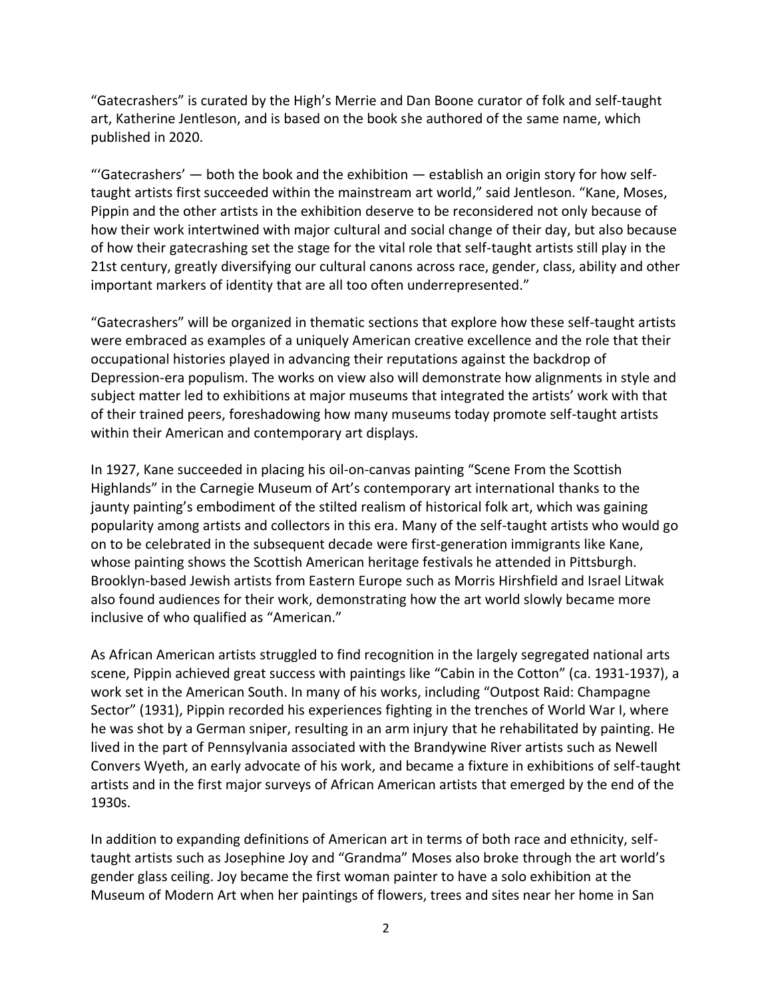"Gatecrashers" is curated by the High's Merrie and Dan Boone curator of folk and self-taught art, Katherine Jentleson, and is based on the book she authored of the same name, which published in 2020.

"'Gatecrashers'  $-$  both the book and the exhibition  $-$  establish an origin story for how selftaught artists first succeeded within the mainstream art world," said Jentleson. "Kane, Moses, Pippin and the other artists in the exhibition deserve to be reconsidered not only because of how their work intertwined with major cultural and social change of their day, but also because of how their gatecrashing set the stage for the vital role that self-taught artists still play in the 21st century, greatly diversifying our cultural canons across race, gender, class, ability and other important markers of identity that are all too often underrepresented."

"Gatecrashers" will be organized in thematic sections that explore how these self-taught artists were embraced as examples of a uniquely American creative excellence and the role that their occupational histories played in advancing their reputations against the backdrop of Depression-era populism. The works on view also will demonstrate how alignments in style and subject matter led to exhibitions at major museums that integrated the artists' work with that of their trained peers, foreshadowing how many museums today promote self-taught artists within their American and contemporary art displays.

In 1927, Kane succeeded in placing his oil-on-canvas painting "Scene From the Scottish Highlands" in the Carnegie Museum of Art's contemporary art international thanks to the jaunty painting's embodiment of the stilted realism of historical folk art, which was gaining popularity among artists and collectors in this era. Many of the self-taught artists who would go on to be celebrated in the subsequent decade were first-generation immigrants like Kane, whose painting shows the Scottish American heritage festivals he attended in Pittsburgh. Brooklyn-based Jewish artists from Eastern Europe such as Morris Hirshfield and Israel Litwak also found audiences for their work, demonstrating how the art world slowly became more inclusive of who qualified as "American."

As African American artists struggled to find recognition in the largely segregated national arts scene, Pippin achieved great success with paintings like "Cabin in the Cotton" (ca. 1931-1937), a work set in the American South. In many of his works, including "Outpost Raid: Champagne Sector" (1931), Pippin recorded his experiences fighting in the trenches of World War I, where he was shot by a German sniper, resulting in an arm injury that he rehabilitated by painting. He lived in the part of Pennsylvania associated with the Brandywine River artists such as Newell Convers Wyeth, an early advocate of his work, and became a fixture in exhibitions of self-taught artists and in the first major surveys of African American artists that emerged by the end of the 1930s.

In addition to expanding definitions of American art in terms of both race and ethnicity, selftaught artists such as Josephine Joy and "Grandma" Moses also broke through the art world's gender glass ceiling. Joy became the first woman painter to have a solo exhibition at the Museum of Modern Art when her paintings of flowers, trees and sites near her home in San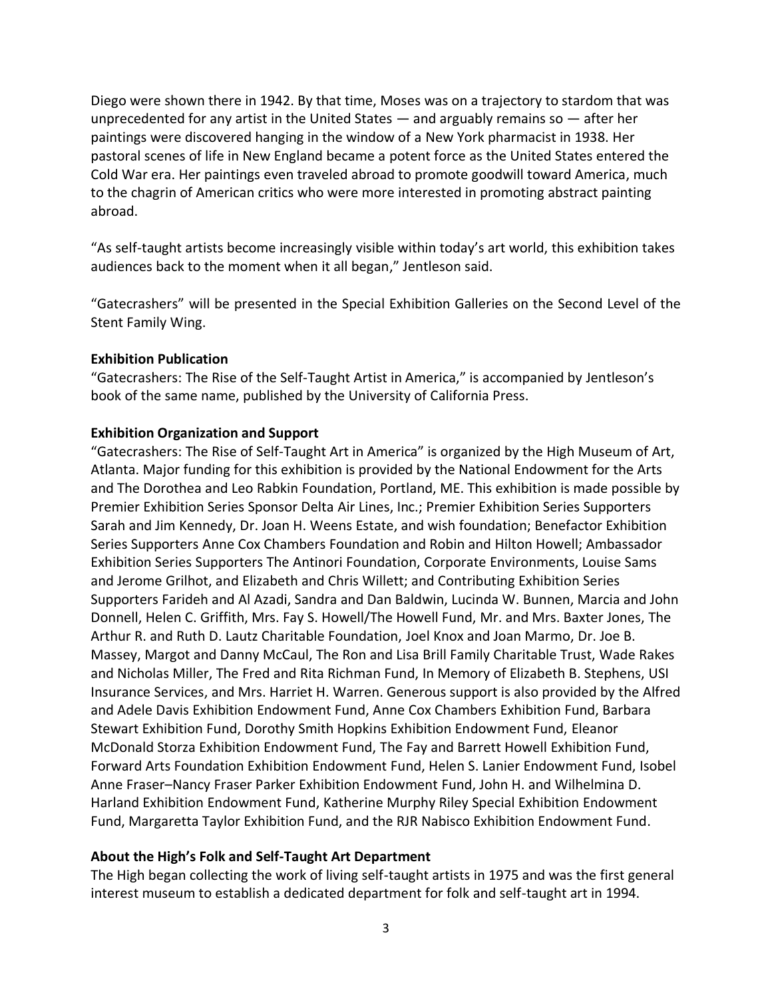Diego were shown there in 1942. By that time, Moses was on a trajectory to stardom that was unprecedented for any artist in the United States  $-$  and arguably remains so  $-$  after her paintings were discovered hanging in the window of a New York pharmacist in 1938. Her pastoral scenes of life in New England became a potent force as the United States entered the Cold War era. Her paintings even traveled abroad to promote goodwill toward America, much to the chagrin of American critics who were more interested in promoting abstract painting abroad.

"As self-taught artists become increasingly visible within today's art world, this exhibition takes audiences back to the moment when it all began," Jentleson said.

"Gatecrashers" will be presented in the Special Exhibition Galleries on the Second Level of the Stent Family Wing.

#### **Exhibition Publication**

"Gatecrashers: The Rise of the Self-Taught Artist in America," is accompanied by Jentleson's book of the same name, published by the University of California Press.

#### **Exhibition Organization and Support**

"Gatecrashers: The Rise of Self-Taught Art in America" is organized by the High Museum of Art, Atlanta. Major funding for this exhibition is provided by the National Endowment for the Arts and The Dorothea and Leo Rabkin Foundation, Portland, ME. This exhibition is made possible by Premier Exhibition Series Sponsor Delta Air Lines, Inc.; Premier Exhibition Series Supporters Sarah and Jim Kennedy, Dr. Joan H. Weens Estate, and wish foundation; Benefactor Exhibition Series Supporters Anne Cox Chambers Foundation and Robin and Hilton Howell; Ambassador Exhibition Series Supporters The Antinori Foundation, Corporate Environments, Louise Sams and Jerome Grilhot, and Elizabeth and Chris Willett; and Contributing Exhibition Series Supporters Farideh and Al Azadi, Sandra and Dan Baldwin, Lucinda W. Bunnen, Marcia and John Donnell, Helen C. Griffith, Mrs. Fay S. Howell/The Howell Fund, Mr. and Mrs. Baxter Jones, The Arthur R. and Ruth D. Lautz Charitable Foundation, Joel Knox and Joan Marmo, Dr. Joe B. Massey, Margot and Danny McCaul, The Ron and Lisa Brill Family Charitable Trust, Wade Rakes and Nicholas Miller, The Fred and Rita Richman Fund, In Memory of Elizabeth B. Stephens, USI Insurance Services, and Mrs. Harriet H. Warren. Generous support is also provided by the Alfred and Adele Davis Exhibition Endowment Fund, Anne Cox Chambers Exhibition Fund, Barbara Stewart Exhibition Fund, Dorothy Smith Hopkins Exhibition Endowment Fund, Eleanor McDonald Storza Exhibition Endowment Fund, The Fay and Barrett Howell Exhibition Fund, Forward Arts Foundation Exhibition Endowment Fund, Helen S. Lanier Endowment Fund, Isobel Anne Fraser–Nancy Fraser Parker Exhibition Endowment Fund, John H. and Wilhelmina D. Harland Exhibition Endowment Fund, Katherine Murphy Riley Special Exhibition Endowment Fund, Margaretta Taylor Exhibition Fund, and the RJR Nabisco Exhibition Endowment Fund.

### **About the High's Folk and Self-Taught Art Department**

The High began collecting the work of living self-taught artists in 1975 and was the first general interest museum to establish a dedicated department for folk and self-taught art in 1994.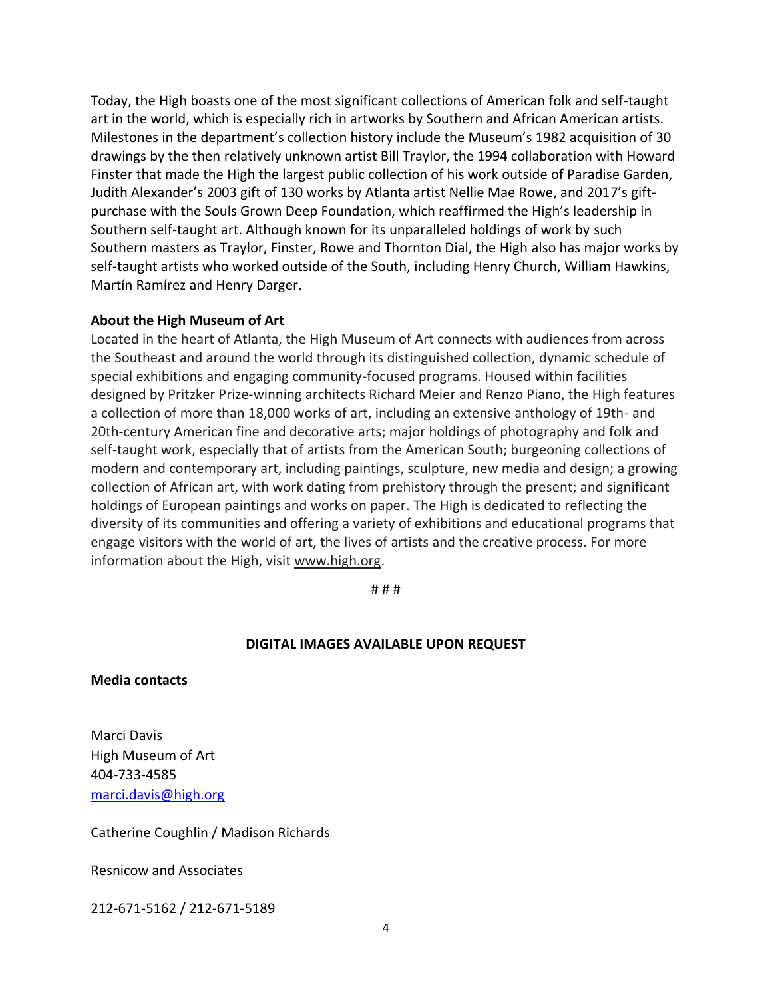Today, the High boasts one of the most significant collections of American folk and self-taught art in the world, which is especially rich in artworks by Southern and African American artists. Milestones in the department's collection history include the Museum's 1982 acquisition of 30 drawings by the then relatively unknown artist Bill Traylor, the 1994 collaboration with Howard Finster that made the High the largest public collection of his work outside of Paradise Garden, Judith Alexander's 2003 gift of 130 works by Atlanta artist Nellie Mae Rowe, and 2017's giftpurchase with the Souls Grown Deep Foundation, which reaffirmed the High's leadership in Southern self-taught art. Although known for its unparalleled holdings of work by such Southern masters as Traylor, Finster, Rowe and Thornton Dial, the High also has major works by self-taught artists who worked outside of the South, including Henry Church, William Hawkins, Martín Ramírez and Henry Darger.

### **About the High Museum of Art**

Located in the heart of Atlanta, the High Museum of Art connects with audiences from across the Southeast and around the world through its distinguished collection, dynamic schedule of special exhibitions and engaging community-focused programs. Housed within facilities designed by Pritzker Prize-winning architects Richard Meier and Renzo Piano, the High features a collection of more than 18,000 works of art, including an extensive anthology of 19th- and 20th-century American fine and decorative arts; major holdings of photography and folk and self-taught work, especially that of artists from the American South; burgeoning collections of modern and contemporary art, including paintings, sculpture, new media and design; a growing collection of African art, with work dating from prehistory through the present; and significant holdings of European paintings and works on paper. The High is dedicated to reflecting the diversity of its communities and offering a variety of exhibitions and educational programs that engage visitors with the world of art, the lives of artists and the creative process. For more information about the High, visit [www.high.org.](http://www.high.org/)

# # #

## **DIGITAL IMAGES AVAILABLE UPON REQUEST**

**Media contacts**

Marci Davis High Museum of Art 404-733-4585 [marci.davis@high.org](mailto:marci.davis@high.org)

Catherine Coughlin / Madison Richards

Resnicow and Associates

212-671-5162 / 212-671-5189